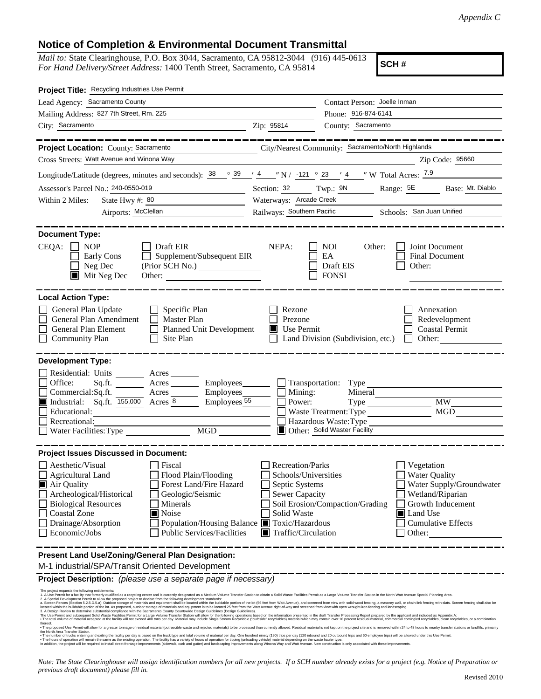## **Notice of Completion & Environmental Document Transmittal**

*Mail to:* State Clearinghouse, P.O. Box 3044, Sacramento, CA 95812-3044 (916) 445-0613 *For Hand Delivery/Street Address:* 1400 Tenth Street, Sacramento, CA 95814

**SCH #**

| Project Title: Recycling Industries Use Permit                                                                                                                                                                                                                                                                                                                                                                                                                                                                                                                                                                                                                                                                                                                                                                                                                                                                                                                                                                                                                                                                                                                                                                                                                                                                                                                                                                                                                                                    |                                                                                     |                                                          |                                                                             |  |
|---------------------------------------------------------------------------------------------------------------------------------------------------------------------------------------------------------------------------------------------------------------------------------------------------------------------------------------------------------------------------------------------------------------------------------------------------------------------------------------------------------------------------------------------------------------------------------------------------------------------------------------------------------------------------------------------------------------------------------------------------------------------------------------------------------------------------------------------------------------------------------------------------------------------------------------------------------------------------------------------------------------------------------------------------------------------------------------------------------------------------------------------------------------------------------------------------------------------------------------------------------------------------------------------------------------------------------------------------------------------------------------------------------------------------------------------------------------------------------------------------|-------------------------------------------------------------------------------------|----------------------------------------------------------|-----------------------------------------------------------------------------|--|
| Lead Agency: Sacramento County                                                                                                                                                                                                                                                                                                                                                                                                                                                                                                                                                                                                                                                                                                                                                                                                                                                                                                                                                                                                                                                                                                                                                                                                                                                                                                                                                                                                                                                                    |                                                                                     | Contact Person: Joelle Inman                             |                                                                             |  |
| Mailing Address: 827 7th Street, Rm. 225                                                                                                                                                                                                                                                                                                                                                                                                                                                                                                                                                                                                                                                                                                                                                                                                                                                                                                                                                                                                                                                                                                                                                                                                                                                                                                                                                                                                                                                          |                                                                                     | Phone: 916-874-6141                                      |                                                                             |  |
| City: Sacramento                                                                                                                                                                                                                                                                                                                                                                                                                                                                                                                                                                                                                                                                                                                                                                                                                                                                                                                                                                                                                                                                                                                                                                                                                                                                                                                                                                                                                                                                                  | Zip: 95814                                                                          | County: Sacramento                                       |                                                                             |  |
| Project Location: County: Sacramento                                                                                                                                                                                                                                                                                                                                                                                                                                                                                                                                                                                                                                                                                                                                                                                                                                                                                                                                                                                                                                                                                                                                                                                                                                                                                                                                                                                                                                                              |                                                                                     | City/Nearest Community: Sacramento/North Highlands       |                                                                             |  |
| Cross Streets: Watt Avenue and Winona Way                                                                                                                                                                                                                                                                                                                                                                                                                                                                                                                                                                                                                                                                                                                                                                                                                                                                                                                                                                                                                                                                                                                                                                                                                                                                                                                                                                                                                                                         |                                                                                     |                                                          | Zip Code: 95660                                                             |  |
|                                                                                                                                                                                                                                                                                                                                                                                                                                                                                                                                                                                                                                                                                                                                                                                                                                                                                                                                                                                                                                                                                                                                                                                                                                                                                                                                                                                                                                                                                                   |                                                                                     |                                                          |                                                                             |  |
| Longitude/Latitude (degrees, minutes and seconds): $\frac{38}{9}$ $\frac{39}{4}$ $\frac{4}{1}$ $\frac{4}{1}$ N / -121 $\degree$ 23 $\degree$ 4 $\degree$ W Total Acres: $\frac{7.9}{1}$                                                                                                                                                                                                                                                                                                                                                                                                                                                                                                                                                                                                                                                                                                                                                                                                                                                                                                                                                                                                                                                                                                                                                                                                                                                                                                           |                                                                                     |                                                          |                                                                             |  |
| Assessor's Parcel No.: 240-0550-019                                                                                                                                                                                                                                                                                                                                                                                                                                                                                                                                                                                                                                                                                                                                                                                                                                                                                                                                                                                                                                                                                                                                                                                                                                                                                                                                                                                                                                                               |                                                                                     | Section: 32 Twp.: 9N Range: 5E                           | Base: Mt. Diablo                                                            |  |
| State Hwy #: 80<br>Within 2 Miles:<br>the control of the control of the control of the control of                                                                                                                                                                                                                                                                                                                                                                                                                                                                                                                                                                                                                                                                                                                                                                                                                                                                                                                                                                                                                                                                                                                                                                                                                                                                                                                                                                                                 |                                                                                     | Waterways: Arcade Creek                                  |                                                                             |  |
| Airports: McClellan                                                                                                                                                                                                                                                                                                                                                                                                                                                                                                                                                                                                                                                                                                                                                                                                                                                                                                                                                                                                                                                                                                                                                                                                                                                                                                                                                                                                                                                                               | Railways: Southern Pacific Schools: San Juan Unified                                |                                                          |                                                                             |  |
| <b>Document Type:</b>                                                                                                                                                                                                                                                                                                                                                                                                                                                                                                                                                                                                                                                                                                                                                                                                                                                                                                                                                                                                                                                                                                                                                                                                                                                                                                                                                                                                                                                                             |                                                                                     |                                                          |                                                                             |  |
| CEQA:<br>$\Box$ NOP<br>Draft EIR<br>Supplement/Subsequent EIR<br>Early Cons<br>$\perp$<br>Neg Dec<br>(Prior SCH No.)<br>$\blacksquare$ Mit Neg Dec<br>Other:                                                                                                                                                                                                                                                                                                                                                                                                                                                                                                                                                                                                                                                                                                                                                                                                                                                                                                                                                                                                                                                                                                                                                                                                                                                                                                                                      | NEPA:                                                                               | NOI.<br>Other:<br>EA<br>Draft EIS<br><b>FONSI</b>        | Joint Document<br>Final Document<br>Other:                                  |  |
| <b>Local Action Type:</b>                                                                                                                                                                                                                                                                                                                                                                                                                                                                                                                                                                                                                                                                                                                                                                                                                                                                                                                                                                                                                                                                                                                                                                                                                                                                                                                                                                                                                                                                         |                                                                                     |                                                          |                                                                             |  |
| General Plan Update<br>Specific Plan<br>General Plan Amendment<br>Master Plan<br>General Plan Element<br><b>Planned Unit Development</b><br>Site Plan<br>$\Box$ Community Plan                                                                                                                                                                                                                                                                                                                                                                                                                                                                                                                                                                                                                                                                                                                                                                                                                                                                                                                                                                                                                                                                                                                                                                                                                                                                                                                    | Rezone<br>Prezone<br>Use Permit<br>ш                                                | Land Division (Subdivision, etc.)                        | Annexation<br>Redevelopment<br><b>Coastal Permit</b><br>Other:              |  |
| <b>Development Type:</b><br>Residential: Units Acres<br>Office:<br>Sq.ft.<br>Acres __________ Employees_______<br>$\Box$ Commercial: Sq.ft.<br>$\frac{\text{Acres}}{\text{Acres}}$<br>Employees_<br>Industrial: Sq.ft. 155,000 Acres 8<br>Employees <sub>55</sub><br>Educational:                                                                                                                                                                                                                                                                                                                                                                                                                                                                                                                                                                                                                                                                                                                                                                                                                                                                                                                                                                                                                                                                                                                                                                                                                 | Mining:<br>Power:                                                                   | Transportation: Type<br>Mineral<br>Waste Treatment: Type | <b>MW</b><br>MGD                                                            |  |
| $\Box$ Recreational:<br>Water Facilities: Type<br><b>MGD</b>                                                                                                                                                                                                                                                                                                                                                                                                                                                                                                                                                                                                                                                                                                                                                                                                                                                                                                                                                                                                                                                                                                                                                                                                                                                                                                                                                                                                                                      |                                                                                     | Hazardous Waste: Type<br>Other: Solid Waster Facility    |                                                                             |  |
|                                                                                                                                                                                                                                                                                                                                                                                                                                                                                                                                                                                                                                                                                                                                                                                                                                                                                                                                                                                                                                                                                                                                                                                                                                                                                                                                                                                                                                                                                                   |                                                                                     |                                                          |                                                                             |  |
| <b>Project Issues Discussed in Document:</b><br>$\Box$ Aesthetic/Visual<br>Fiscal<br>Agricultural Land<br>Flood Plain/Flooding<br>Air Quality<br>Forest Land/Fire Hazard<br>Archeological/Historical<br>Geologic/Seismic                                                                                                                                                                                                                                                                                                                                                                                                                                                                                                                                                                                                                                                                                                                                                                                                                                                                                                                                                                                                                                                                                                                                                                                                                                                                          | Recreation/Parks<br>Schools/Universities<br>Septic Systems<br><b>Sewer Capacity</b> |                                                          | Vegetation<br>Water Quality<br>Water Supply/Groundwater<br>Wetland/Riparian |  |
| <b>Biological Resources</b><br>Minerals<br><b>Coastal Zone</b><br>Noise<br>Drainage/Absorption<br>Population/Housing Balance ■ Toxic/Hazardous<br><b>Public Services/Facilities</b><br>Economic/Jobs                                                                                                                                                                                                                                                                                                                                                                                                                                                                                                                                                                                                                                                                                                                                                                                                                                                                                                                                                                                                                                                                                                                                                                                                                                                                                              | Solid Waste<br>$\blacksquare$ Traffic/Circulation                                   | Soil Erosion/Compaction/Grading                          | Growth Inducement<br>Land Use<br><b>Cumulative Effects</b><br>Other:        |  |
| Present Land Use/Zoning/General Plan Designation:<br>M-1 industrial/SPA/Transit Oriented Development                                                                                                                                                                                                                                                                                                                                                                                                                                                                                                                                                                                                                                                                                                                                                                                                                                                                                                                                                                                                                                                                                                                                                                                                                                                                                                                                                                                              |                                                                                     |                                                          |                                                                             |  |
| Project Description: (please use a separate page if necessary)                                                                                                                                                                                                                                                                                                                                                                                                                                                                                                                                                                                                                                                                                                                                                                                                                                                                                                                                                                                                                                                                                                                                                                                                                                                                                                                                                                                                                                    |                                                                                     |                                                          |                                                                             |  |
| The project requests the following entitlements:<br>1. A Use Permit for a facility that formerly qualified as a recycling center and is currently designated as a Medium Volume Transfer Station to obtain a Solid Waste Facilities Permit as a Large Volume Transfer Station in t<br>2. A Special Development Permit to allow the proposed project to deviate from the following development standards:<br>a. Screen Fences (Section 5.2.5.D.5.a): Outdoor storage of materials and equipment shall be located within the buildable portion of the Iot (56 feet from Watt Avenue), and screened from view with solid wood fencing, a maso<br>located within the buildable portion of the lot. As proposed, outdoor storage of materials and equipment is to be located 25 feet from the Watt Avenue right-of-way and screened from view with open wrought-iron fencing and<br>3. A Design Review to determine substantial compliance with the Sacramento County Countywide Design Guidelines (Design Guidelines).<br>The Use Permit and subsequent Solid Waste Facilities Permit for a Large Volume Transfer Station will allow for the following operations based on the information presented in the draft Transfer Processing Report prepared by<br>. The total volume of material accepted at the facility will not exceed 400 tons per day. Material may include Single Stream Recyclable ("curbside" recyclables) material which may contain over 10 percent residual material,<br>thereof |                                                                                     |                                                          |                                                                             |  |

*Note: The State Clearinghouse will assign identification numbers for all new projects. If a SCH number already exists for a project (e.g. Notice of Preparation or previous draft document) please fill in.*

thereof.<br>• The proposed Use Permit will allow for a greater tonnage of residual material (putrescible waste and rejected materials) to be processed than currently allowed. Residual material is not kept on the project site